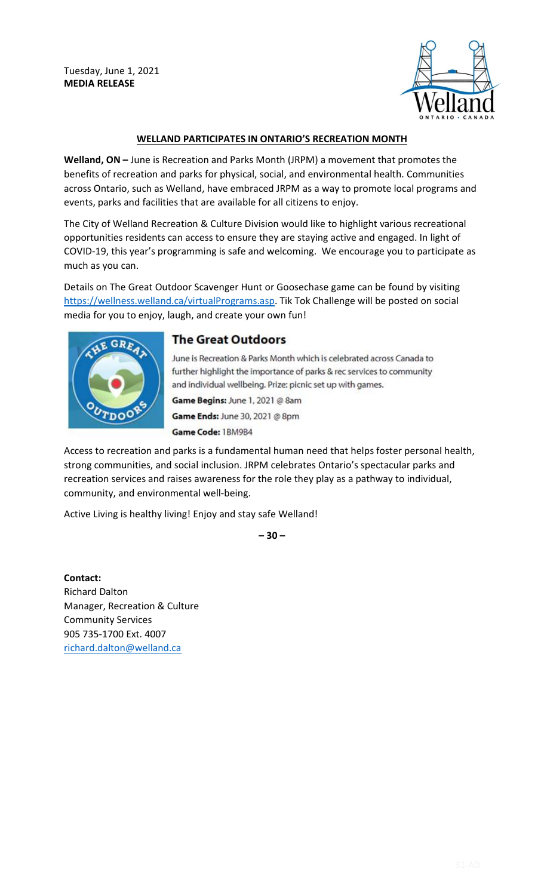Tuesday, June 1, 2021 **MEDIA RELEASE**



## **WELLAND PARTICIPATES IN ONTARIO'S RECREATION MONTH**

**Welland, ON –** June is Recreation and Parks Month (JRPM) a movement that promotes the benefits of recreation and parks for physical, social, and environmental health. Communities across Ontario, such as Welland, have embraced JRPM as a way to promote local programs and events, parks and facilities that are available for all citizens to enjoy.

The City of Welland Recreation & Culture Division would like to highlight various recreational opportunities residents can access to ensure they are staying active and engaged. In light of COVID-19, this year's programming is safe and welcoming. We encourage you to participate as much as you can.

Details on The Great Outdoor Scavenger Hunt or Goosechase game can be found by visiting [https://wellness.welland.ca/virtualPrograms.asp.](https://wellness.welland.ca/virtualPrograms.asp) Tik Tok Challenge will be posted on social media for you to enjoy, laugh, and create your own fun!



## **The Great Outdoors**

June is Recreation & Parks Month which is celebrated across Canada to further highlight the importance of parks & rec services to community and individual wellbeing. Prize: picnic set up with games. Game Begins: June 1, 2021 @ 8am Game Ends: June 30, 2021 @ 8pm Game Code: 1BM9B4

Access to recreation and parks is a fundamental human need that helps foster personal health, strong communities, and social inclusion. JRPM celebrates Ontario's spectacular parks and recreation services and raises awareness for the role they play as a pathway to individual, community, and environmental well-being.

Active Living is healthy living! Enjoy and stay safe Welland!

**– 30 –** 

**Contact:** Richard Dalton Manager, Recreation & Culture Community Services 905 735-1700 Ext. 4007 [richard.dalton@welland.ca](mailto:richard.dalton@welland.ca)